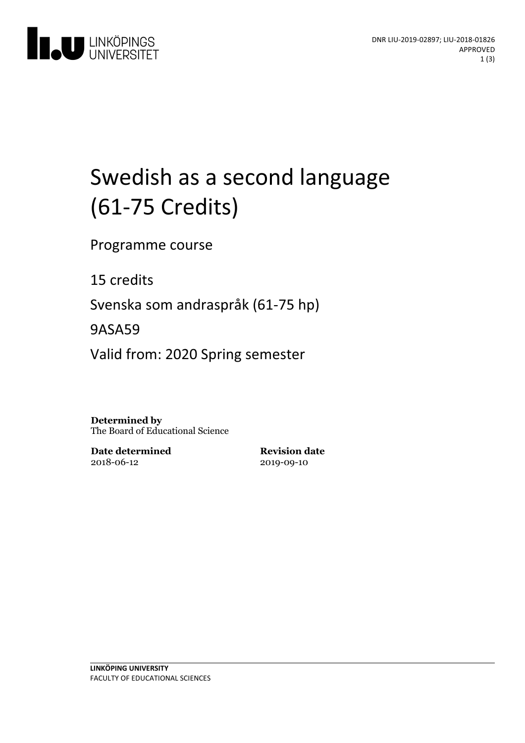

# Swedish as a second language (61-75 Credits)

Programme course

15 credits

Svenska som andraspråk (61-75 hp)

9ASA59

Valid from: 2020 Spring semester

**Determined by** The Board of Educational Science

**Date determined** 2018-06-12

**Revision date** 2019-09-10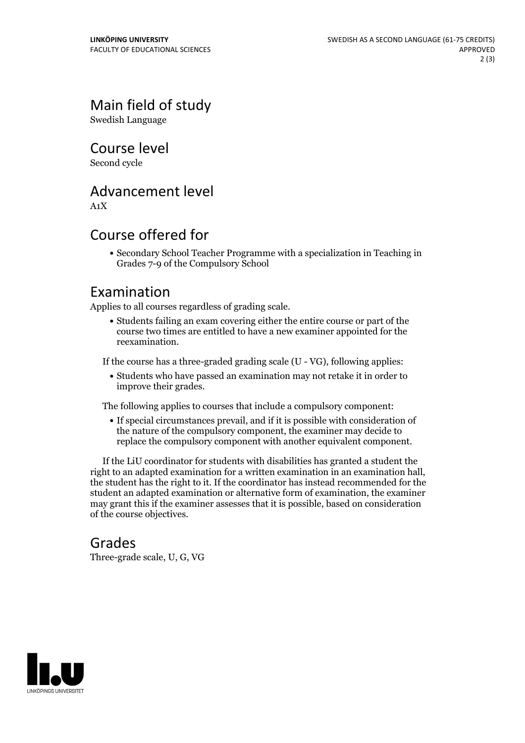Main field of study

Swedish Language

Course level

Second cycle

## Advancement level

A1X

## Course offered for

Secondary School Teacher Programme with a specialization in Teaching in Grades 7-9 of the Compulsory School

#### Examination

Applies to all courses regardless of grading scale.

Students failing an exam covering either the entire course or part of the course two times are entitled to have a new examiner appointed for the reexamination.

If the course has a three-graded grading scale (U - VG), following applies:

Students who have passed an examination may not retake it in order to improve their grades.

The following applies to courses that include a compulsory component:

If special circumstances prevail, and if it is possible with consideration of the nature of the compulsory component, the examiner may decide to replace the compulsory component with another equivalent component.

If the LiU coordinator for students with disabilities has granted a student the right to an adapted examination for <sup>a</sup> written examination in an examination hall, the student has the right to it. If the coordinator has instead recommended for the student an adapted examination or alternative form of examination, the examiner may grant this if the examiner assesses that it is possible, based on consideration of the course objectives.

#### Grades

Three-grade scale, U, G, VG